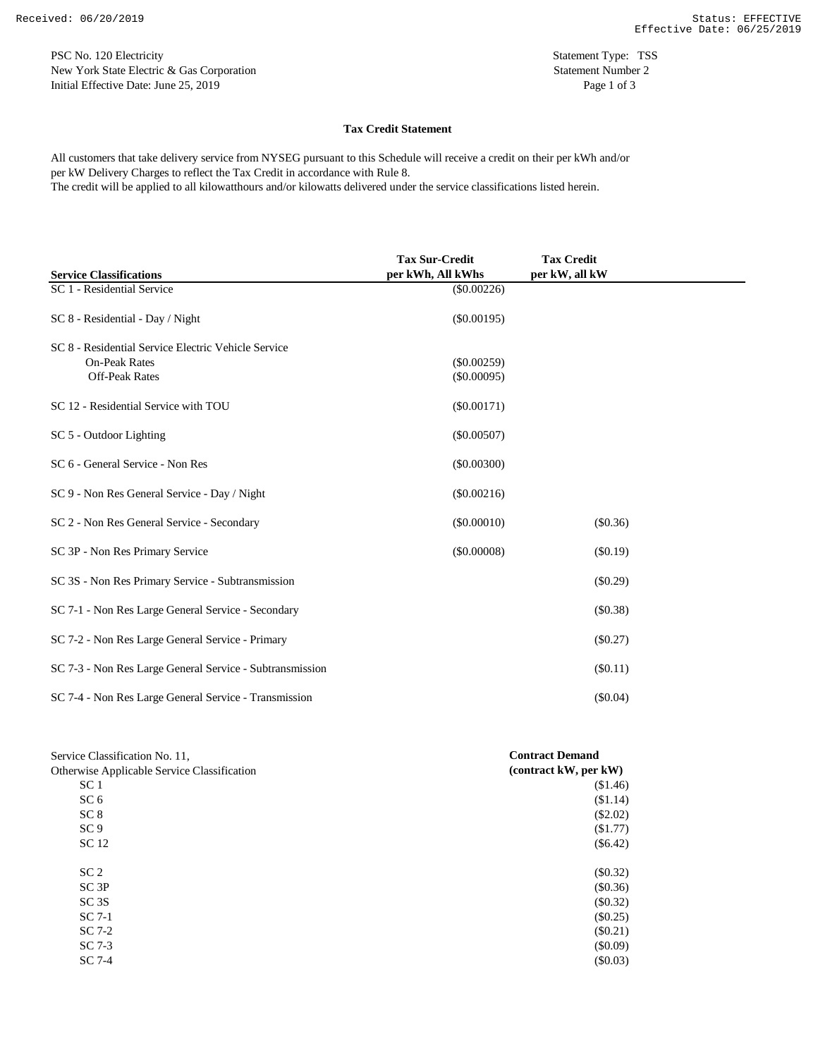PSC No. 120 Electricity Statement Type: TSS New York State Electric & Gas Corporation Statement Number 2 Initial Effective Date: June 25, 2019 Page 1 of 3

## **Tax Credit Statement**

per kW Delivery Charges to reflect the Tax Credit in accordance with Rule 8. All customers that take delivery service from NYSEG pursuant to this Schedule will receive a credit on their per kWh and/or The credit will be applied to all kilowatthours and/or kilowatts delivered under the service classifications listed herein.

**Service Classifications Tax Sur-Credit per kWh, All kWhs Tax Credit per kW, all kW** SC 1 - Residential Service (\$0.00226) SC 8 - Residential - Day / Night (\$0.00195) SC 8 - Residential Service Electric Vehicle Service On-Peak Rates (\$0.00259) Off-Peak Rates (\$0.00095) SC 12 - Residential Service with TOU (\$0.00171) SC 5 - Outdoor Lighting (\$0.00507) SC 6 - General Service - Non Res (\$0.00300) SC 9 - Non Res General Service - Day / Night (\$0.00216) (\$0.00216) SC 2 - Non Res General Service - Secondary (\$0.00010) (\$0.36) SC 3P - Non Res Primary Service (\$0.00008) (\$0.19) SC 3S - Non Res Primary Service - Subtransmission (\$0.29) SC 7-1 - Non Res Large General Service - Secondary (\$0.38) SC 7-2 - Non Res Large General Service - Primary (\$0.27) SC 7-3 - Non Res Large General Service - Subtransmission (\$0.11) SC 7-4 - Non Res Large General Service - Transmission (\$0.04)

| Service Classification No. 11,              | <b>Contract Demand</b> |
|---------------------------------------------|------------------------|
| Otherwise Applicable Service Classification | (contract kW, per kW)  |
| SC <sub>1</sub>                             | (\$1.46)               |
| SC <sub>6</sub>                             | (\$1.14)               |
| SC <sub>8</sub>                             | (\$2.02)               |
| SC <sub>9</sub>                             | (\$1.77)               |
| SC 12                                       | $(\$6.42)$             |
| SC <sub>2</sub>                             | $(\$0.32)$             |
| SC3P                                        | (\$0.36)               |
| SC <sub>3</sub> S                           | $(\$0.32)$             |
| $SC7-1$                                     | $(\$0.25)$             |
| $SC7-2$                                     | $(\$0.21)$             |
| SC 7-3                                      | $(\$0.09)$             |
| $SC7-4$                                     | (\$0.03)               |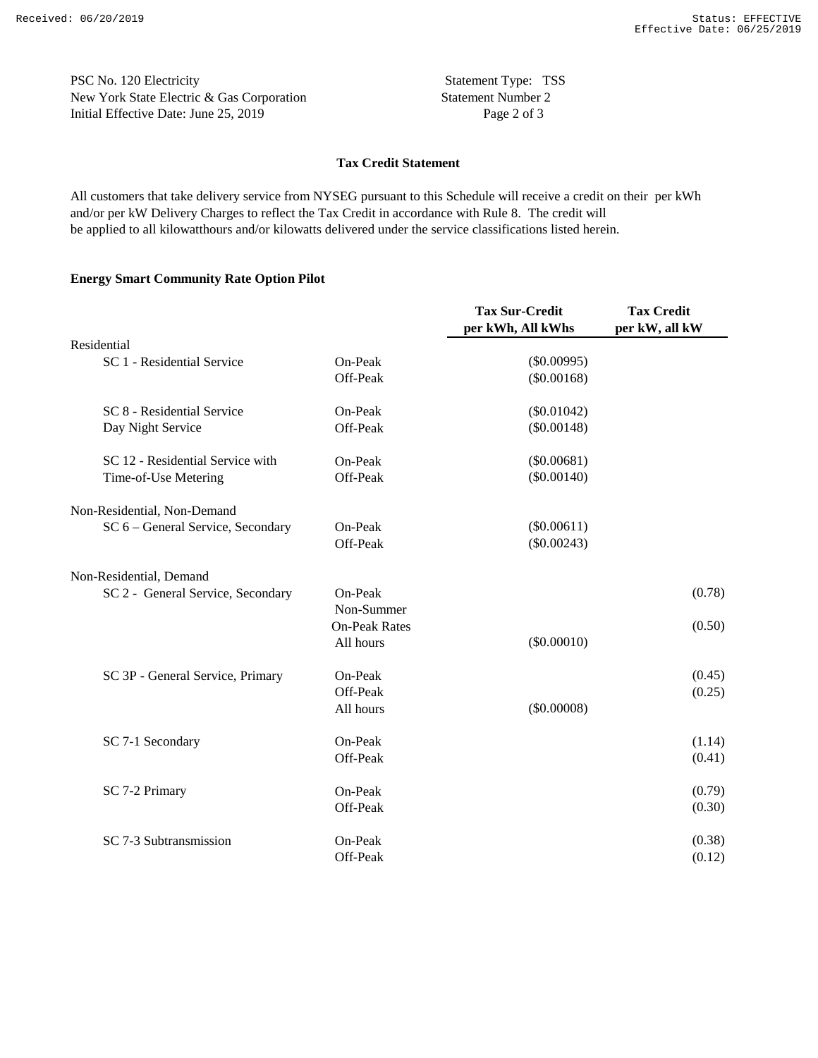PSC No. 120 Electricity Statement Type: TSS New York State Electric & Gas Corporation Statement Number 2 Initial Effective Date: June 25, 2019 Page 2 of 3

## **Tax Credit Statement**

and/or per kW Delivery Charges to reflect the Tax Credit in accordance with Rule 8. The credit will All customers that take delivery service from NYSEG pursuant to this Schedule will receive a credit on their per kWh be applied to all kilowatthours and/or kilowatts delivered under the service classifications listed herein.

## **Energy Smart Community Rate Option Pilot**

|                                   |                      | <b>Tax Sur-Credit</b><br>per kWh, All kWhs | <b>Tax Credit</b><br>per kW, all kW |
|-----------------------------------|----------------------|--------------------------------------------|-------------------------------------|
| Residential                       |                      |                                            |                                     |
| SC 1 - Residential Service        | On-Peak              | $(\$0.00995)$                              |                                     |
|                                   | Off-Peak             | $(\$0.00168)$                              |                                     |
| SC 8 - Residential Service        | On-Peak              | $(\$0.01042)$                              |                                     |
| Day Night Service                 | Off-Peak             | $(\$0.00148)$                              |                                     |
| SC 12 - Residential Service with  | On-Peak              | $(\$0.00681)$                              |                                     |
| Time-of-Use Metering              | Off-Peak             | $(\$0.00140)$                              |                                     |
| Non-Residential, Non-Demand       |                      |                                            |                                     |
| SC 6 - General Service, Secondary | On-Peak              | $(\$0.00611)$                              |                                     |
|                                   | Off-Peak             | $(\$0.00243)$                              |                                     |
| Non-Residential, Demand           |                      |                                            |                                     |
| SC 2 - General Service, Secondary | On-Peak              |                                            | (0.78)                              |
|                                   | Non-Summer           |                                            |                                     |
|                                   | <b>On-Peak Rates</b> |                                            | (0.50)                              |
|                                   | All hours            | $(\$0.00010)$                              |                                     |
| SC 3P - General Service, Primary  | On-Peak              |                                            | (0.45)                              |
|                                   | Off-Peak             |                                            | (0.25)                              |
|                                   | All hours            | (\$0.00008)                                |                                     |
| SC 7-1 Secondary                  | On-Peak              |                                            | (1.14)                              |
|                                   | Off-Peak             |                                            | (0.41)                              |
| SC 7-2 Primary                    | On-Peak              |                                            | (0.79)                              |
|                                   | Off-Peak             |                                            | (0.30)                              |
| SC 7-3 Subtransmission            | On-Peak              |                                            | (0.38)                              |
|                                   | Off-Peak             |                                            | (0.12)                              |